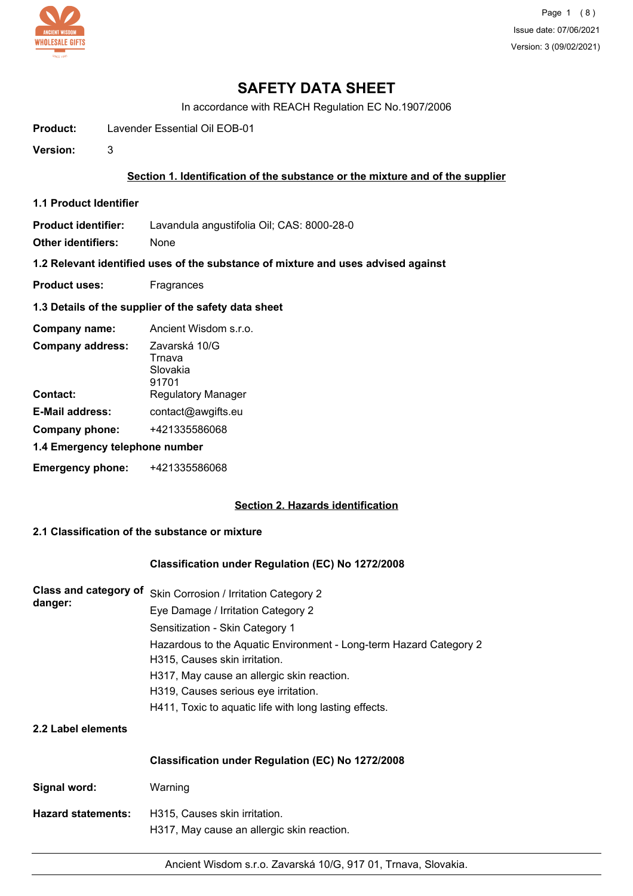

# **SAFETY DATA SHEET**

In accordance with REACH Regulation EC No.1907/2006

- **Product:** Lavender Essential Oil EOB-01
- **Version:** 3

## **Section 1. Identification of the substance or the mixture and of the supplier**

**1.1 Product Identifier**

**Product identifier:** Lavandula angustifolia Oil; CAS: 8000-28-0

**Other identifiers:** None

**1.2 Relevant identified uses of the substance of mixture and uses advised against**

- **Product uses:** Fragrances
- **1.3 Details of the supplier of the safety data sheet**

| Company name:                  | Ancient Wisdom s.r.o.                        |  |  |
|--------------------------------|----------------------------------------------|--|--|
| <b>Company address:</b>        | Zavarská 10/G<br>Trnava<br>Slovakia<br>91701 |  |  |
| Contact:                       | Regulatory Manager                           |  |  |
| <b>E-Mail address:</b>         | contact@awgifts.eu                           |  |  |
| <b>Company phone:</b>          | +421335586068                                |  |  |
| 1.4 Emergency telephone number |                                              |  |  |
| <b>Emergency phone:</b>        | +421335586068                                |  |  |

### **Section 2. Hazards identification**

# **2.1 Classification of the substance or mixture**

### **Classification under Regulation (EC) No 1272/2008**

| Class and category of<br>danger: | Skin Corrosion / Irritation Category 2                                                              |  |  |
|----------------------------------|-----------------------------------------------------------------------------------------------------|--|--|
|                                  | Eye Damage / Irritation Category 2                                                                  |  |  |
|                                  | Sensitization - Skin Category 1                                                                     |  |  |
|                                  | Hazardous to the Aquatic Environment - Long-term Hazard Category 2<br>H315, Causes skin irritation. |  |  |
|                                  | H317, May cause an allergic skin reaction.                                                          |  |  |
|                                  | H319, Causes serious eye irritation.                                                                |  |  |
|                                  | H411, Toxic to aquatic life with long lasting effects.                                              |  |  |
| 2.2 Label elements               |                                                                                                     |  |  |
|                                  | Classification under Regulation (EC) No 1272/2008                                                   |  |  |
| Signal word:                     | Warning                                                                                             |  |  |
| <b>Hazard statements:</b>        | H315, Causes skin irritation.<br>H317, May cause an allergic skin reaction.                         |  |  |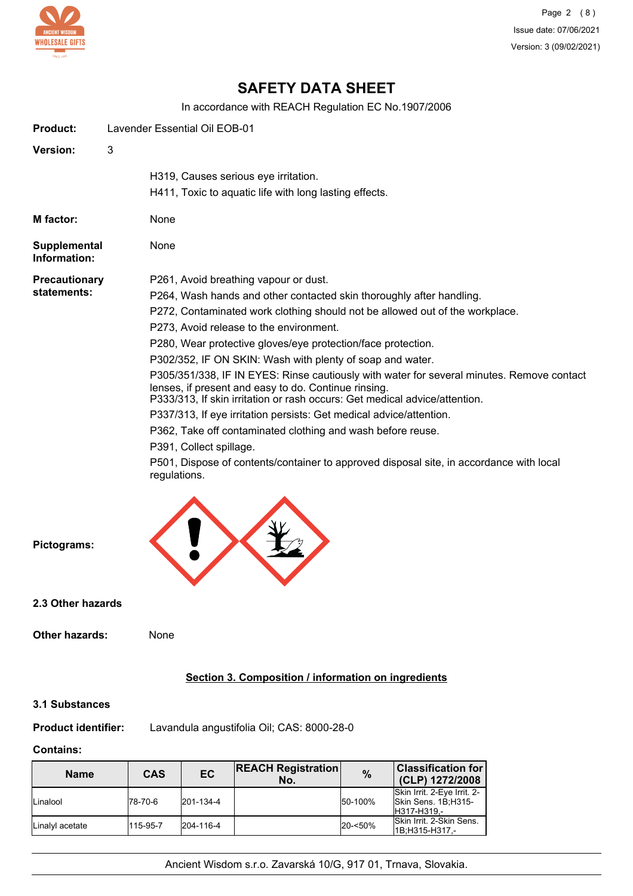

# **SAFETY DATA SHEET**

In accordance with REACH Regulation EC No.1907/2006

| <b>Product:</b>              |      | Lavender Essential Oil EOB-01                                                                                                                                                                                                   |
|------------------------------|------|---------------------------------------------------------------------------------------------------------------------------------------------------------------------------------------------------------------------------------|
| <b>Version:</b>              | 3    |                                                                                                                                                                                                                                 |
|                              |      | H319, Causes serious eye irritation.<br>H411, Toxic to aquatic life with long lasting effects.                                                                                                                                  |
| M factor:                    | None |                                                                                                                                                                                                                                 |
| Supplemental<br>Information: | None |                                                                                                                                                                                                                                 |
| <b>Precautionary</b>         |      | P261, Avoid breathing vapour or dust.                                                                                                                                                                                           |
| statements:                  |      | P264, Wash hands and other contacted skin thoroughly after handling.                                                                                                                                                            |
|                              |      | P272, Contaminated work clothing should not be allowed out of the workplace.                                                                                                                                                    |
|                              |      | P273, Avoid release to the environment.                                                                                                                                                                                         |
|                              |      | P280, Wear protective gloves/eye protection/face protection.                                                                                                                                                                    |
|                              |      | P302/352, IF ON SKIN: Wash with plenty of soap and water.                                                                                                                                                                       |
|                              |      | P305/351/338, IF IN EYES: Rinse cautiously with water for several minutes. Remove contact<br>lenses, if present and easy to do. Continue rinsing.<br>P333/313, If skin irritation or rash occurs: Get medical advice/attention. |
|                              |      | P337/313, If eye irritation persists: Get medical advice/attention.                                                                                                                                                             |
|                              |      | P362, Take off contaminated clothing and wash before reuse.                                                                                                                                                                     |
|                              |      | P391, Collect spillage.                                                                                                                                                                                                         |
|                              |      | P501, Dispose of contents/container to approved disposal site, in accordance with local<br>regulations.                                                                                                                         |
| Pictograms:                  |      |                                                                                                                                                                                                                                 |

**2.3 Other hazards**

# **Section 3. Composition / information on ingredients**

## **3.1 Substances**

**Product identifier:** Lavandula angustifolia Oil; CAS: 8000-28-0

# **Contains:**

| <b>Name</b>     | CAS      | EC        | <b>REACH Registration</b><br>No. | $\frac{0}{0}$ | <b>Classification for</b><br>(CLP) 1272/2008                      |
|-----------------|----------|-----------|----------------------------------|---------------|-------------------------------------------------------------------|
| Linalool        | 178-70-6 | 201-134-4 |                                  | 50-100%       | Skin Irrit. 2-Eye Irrit. 2-<br>Skin Sens. 1B;H315-<br>H317-H319.- |
| Linalvl acetate | 115-95-7 | 204-116-4 |                                  | 20-<50%       | <b>ISkin Irrit, 2-Skin Sens.</b><br>1B:H315-H317.-                |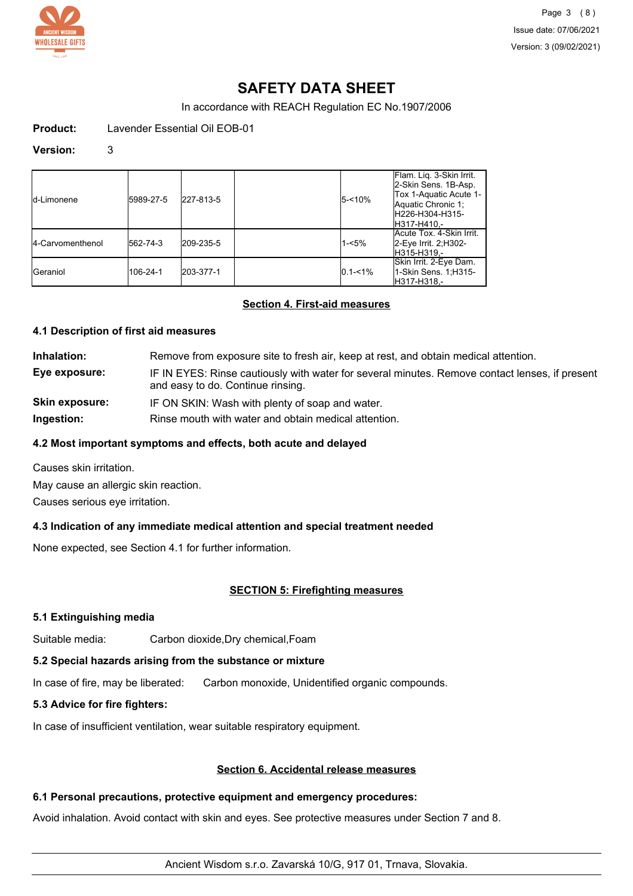

# **SAFETY DATA SHEET**

In accordance with REACH Regulation EC No.1907/2006

**Product:** Lavender Essential Oil EOB-01

#### **Version:** 3

| Id-Limonene             | 5989-27-5 | 227-813-5 | $5 - 10%$   | Flam. Lig. 3-Skin Irrit.<br>2-Skin Sens. 1B-Asp.<br>Tox 1-Aquatic Acute 1-<br>Aquatic Chronic 1;<br>H226-H304-H315-<br>IH317-H410.- |
|-------------------------|-----------|-----------|-------------|-------------------------------------------------------------------------------------------------------------------------------------|
| <b>4-Carvomenthenol</b> | 562-74-3  | 209-235-5 | $1 - 5%$    | Acute Tox. 4-Skin Irrit.<br>2-Eye Irrit. 2; H302-<br>H315-H319.-                                                                    |
| <b>I</b> Geraniol       | 106-24-1  | 203-377-1 | $0.1 - 1\%$ | Skin Irrit. 2-Eye Dam.<br>1-Skin Sens. 1:H315-<br>H317-H318.-                                                                       |

#### **Section 4. First-aid measures**

#### **4.1 Description of first aid measures**

| Inhalation:           | Remove from exposure site to fresh air, keep at rest, and obtain medical attention.                                                 |
|-----------------------|-------------------------------------------------------------------------------------------------------------------------------------|
| Eye exposure:         | IF IN EYES: Rinse cautiously with water for several minutes. Remove contact lenses, if present<br>and easy to do. Continue rinsing. |
| <b>Skin exposure:</b> | IF ON SKIN: Wash with plenty of soap and water.                                                                                     |
| Ingestion:            | Rinse mouth with water and obtain medical attention.                                                                                |

#### **4.2 Most important symptoms and effects, both acute and delayed**

Causes skin irritation.

May cause an allergic skin reaction.

Causes serious eye irritation.

### **4.3 Indication of any immediate medical attention and special treatment needed**

None expected, see Section 4.1 for further information.

### **SECTION 5: Firefighting measures**

#### **5.1 Extinguishing media**

Suitable media: Carbon dioxide,Dry chemical,Foam

## **5.2 Special hazards arising from the substance or mixture**

In case of fire, may be liberated: Carbon monoxide, Unidentified organic compounds.

### **5.3 Advice for fire fighters:**

In case of insufficient ventilation, wear suitable respiratory equipment.

## **Section 6. Accidental release measures**

## **6.1 Personal precautions, protective equipment and emergency procedures:**

Avoid inhalation. Avoid contact with skin and eyes. See protective measures under Section 7 and 8.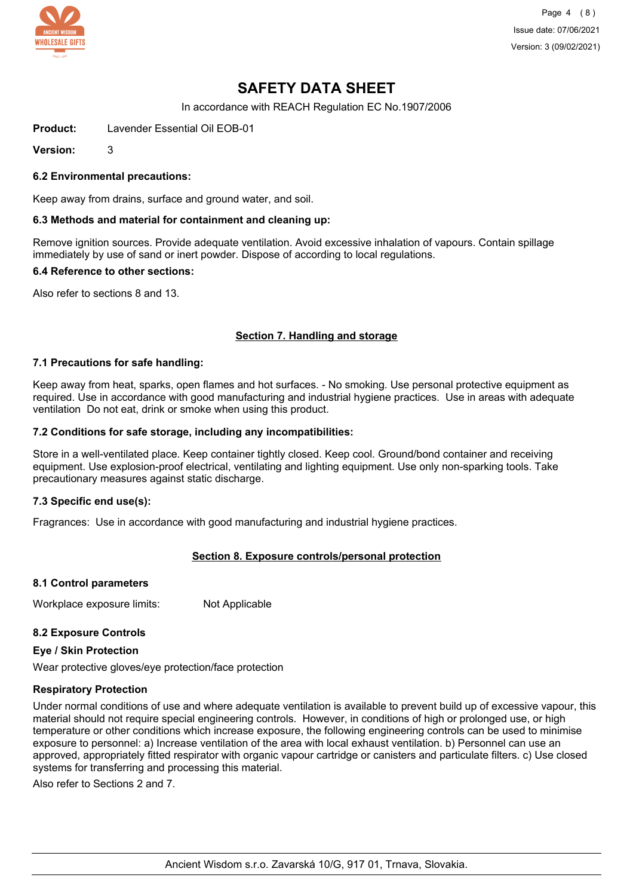

Page 4 (8) Issue date: 07/06/2021 Version: 3 (09/02/2021)

# **SAFETY DATA SHEET**

In accordance with REACH Regulation EC No.1907/2006

**Product:** Lavender Essential Oil EOB-01

**Version:** 3

#### **6.2 Environmental precautions:**

Keep away from drains, surface and ground water, and soil.

#### **6.3 Methods and material for containment and cleaning up:**

Remove ignition sources. Provide adequate ventilation. Avoid excessive inhalation of vapours. Contain spillage immediately by use of sand or inert powder. Dispose of according to local regulations.

#### **6.4 Reference to other sections:**

Also refer to sections 8 and 13.

### **Section 7. Handling and storage**

#### **7.1 Precautions for safe handling:**

Keep away from heat, sparks, open flames and hot surfaces. - No smoking. Use personal protective equipment as required. Use in accordance with good manufacturing and industrial hygiene practices. Use in areas with adequate ventilation Do not eat, drink or smoke when using this product.

#### **7.2 Conditions for safe storage, including any incompatibilities:**

Store in a well-ventilated place. Keep container tightly closed. Keep cool. Ground/bond container and receiving equipment. Use explosion-proof electrical, ventilating and lighting equipment. Use only non-sparking tools. Take precautionary measures against static discharge.

#### **7.3 Specific end use(s):**

Fragrances: Use in accordance with good manufacturing and industrial hygiene practices.

### **Section 8. Exposure controls/personal protection**

#### **8.1 Control parameters**

Workplace exposure limits: Not Applicable

#### **8.2 Exposure Controls**

#### **Eye / Skin Protection**

Wear protective gloves/eye protection/face protection

#### **Respiratory Protection**

Under normal conditions of use and where adequate ventilation is available to prevent build up of excessive vapour, this material should not require special engineering controls. However, in conditions of high or prolonged use, or high temperature or other conditions which increase exposure, the following engineering controls can be used to minimise exposure to personnel: a) Increase ventilation of the area with local exhaust ventilation. b) Personnel can use an approved, appropriately fitted respirator with organic vapour cartridge or canisters and particulate filters. c) Use closed systems for transferring and processing this material.

Also refer to Sections 2 and 7.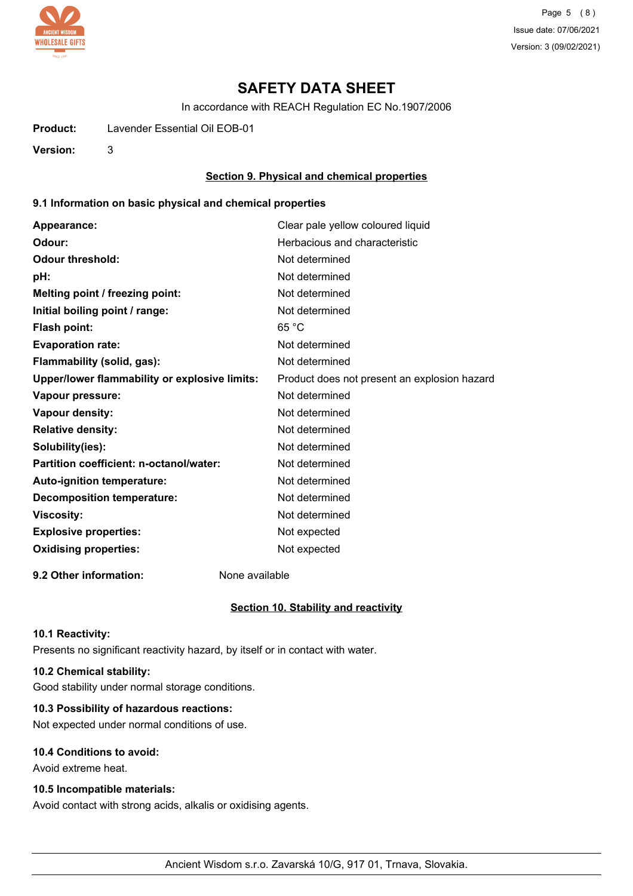

Page 5 (8) Issue date: 07/06/2021 Version: 3 (09/02/2021)

# **SAFETY DATA SHEET**

In accordance with REACH Regulation EC No.1907/2006

**Product:** Lavender Essential Oil EOB-01

**Version:** 3

#### **Section 9. Physical and chemical properties**

#### **9.1 Information on basic physical and chemical properties**

| Appearance:                                   | Clear pale yellow coloured liquid            |
|-----------------------------------------------|----------------------------------------------|
| Odour:                                        | Herbacious and characteristic                |
| <b>Odour threshold:</b>                       | Not determined                               |
| pH:                                           | Not determined                               |
| Melting point / freezing point:               | Not determined                               |
| Initial boiling point / range:                | Not determined                               |
| Flash point:                                  | 65 °C                                        |
| <b>Evaporation rate:</b>                      | Not determined                               |
| Flammability (solid, gas):                    | Not determined                               |
| Upper/lower flammability or explosive limits: | Product does not present an explosion hazard |
| Vapour pressure:                              | Not determined                               |
| Vapour density:                               | Not determined                               |
| <b>Relative density:</b>                      | Not determined                               |
| Solubility(ies):                              | Not determined                               |
| Partition coefficient: n-octanol/water:       | Not determined                               |
| Auto-ignition temperature:                    | Not determined                               |
| <b>Decomposition temperature:</b>             | Not determined                               |
| <b>Viscosity:</b>                             | Not determined                               |
| <b>Explosive properties:</b>                  | Not expected                                 |
| <b>Oxidising properties:</b>                  | Not expected                                 |
|                                               |                                              |

**9.2 Other information:** None available

#### **Section 10. Stability and reactivity**

#### **10.1 Reactivity:**

Presents no significant reactivity hazard, by itself or in contact with water.

## **10.2 Chemical stability:**

Good stability under normal storage conditions.

## **10.3 Possibility of hazardous reactions:**

Not expected under normal conditions of use.

# **10.4 Conditions to avoid:**

Avoid extreme heat.

### **10.5 Incompatible materials:**

Avoid contact with strong acids, alkalis or oxidising agents.

Ancient Wisdom s.r.o. Zavarská 10/G, 917 01, Trnava, Slovakia.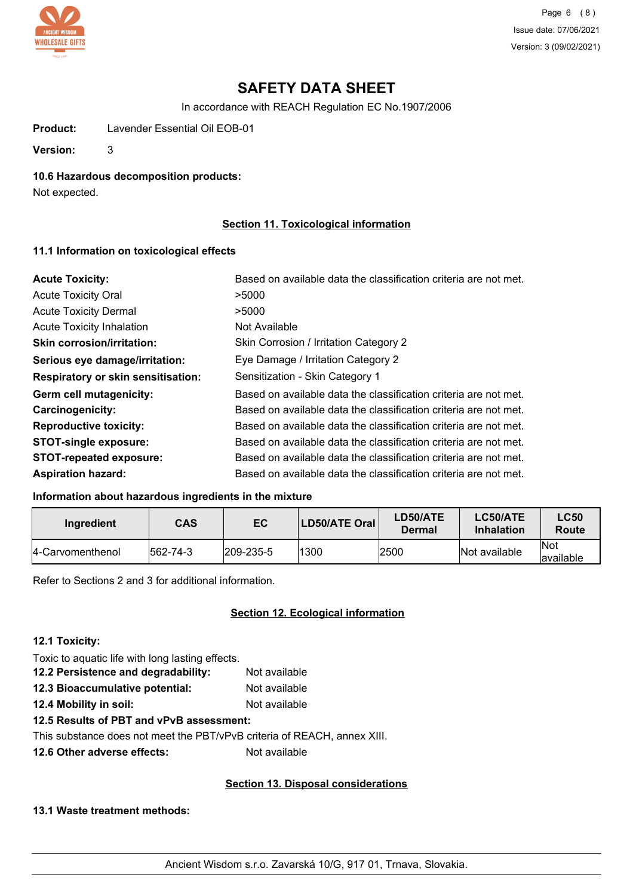

Page 6 (8) Issue date: 07/06/2021 Version: 3 (09/02/2021)

# **SAFETY DATA SHEET**

In accordance with REACH Regulation EC No.1907/2006

**Product:** Lavender Essential Oil EOB-01

**Version:** 3

#### **10.6 Hazardous decomposition products:**

Not expected.

## **Section 11. Toxicological information**

#### **11.1 Information on toxicological effects**

| <b>Acute Toxicity:</b>             | Based on available data the classification criteria are not met. |
|------------------------------------|------------------------------------------------------------------|
| <b>Acute Toxicity Oral</b>         | >5000                                                            |
| <b>Acute Toxicity Dermal</b>       | >5000                                                            |
| Acute Toxicity Inhalation          | Not Available                                                    |
| <b>Skin corrosion/irritation:</b>  | Skin Corrosion / Irritation Category 2                           |
| Serious eye damage/irritation:     | Eye Damage / Irritation Category 2                               |
| Respiratory or skin sensitisation: | Sensitization - Skin Category 1                                  |
| Germ cell mutagenicity:            | Based on available data the classification criteria are not met. |
| <b>Carcinogenicity:</b>            | Based on available data the classification criteria are not met. |
| <b>Reproductive toxicity:</b>      | Based on available data the classification criteria are not met. |
| <b>STOT-single exposure:</b>       | Based on available data the classification criteria are not met. |
| <b>STOT-repeated exposure:</b>     | Based on available data the classification criteria are not met. |
| <b>Aspiration hazard:</b>          | Based on available data the classification criteria are not met. |

## **Information about hazardous ingredients in the mixture**

| Ingredient        | <b>CAS</b> | EC                | LD50/ATE Oral | LD50/ATE<br>Dermal | LC50/ATE<br><b>Inhalation</b> | LC50<br>Route      |
|-------------------|------------|-------------------|---------------|--------------------|-------------------------------|--------------------|
| 14-Carvomenthenol | 562-74-3   | $ 209 - 235 - 5 $ | 1300          | 2500               | Not available                 | lNot<br>lavailable |

Refer to Sections 2 and 3 for additional information.

# **Section 12. Ecological information**

### **12.1 Toxicity:**

Toxic to aquatic life with long lasting effects.

**12.2 Persistence and degradability:** Not available **12.3 Bioaccumulative potential:** Not available **12.4 Mobility in soil:** Not available

### **12.5 Results of PBT and vPvB assessment:**

This substance does not meet the PBT/vPvB criteria of REACH, annex XIII.

**12.6 Other adverse effects:** Not available

### **Section 13. Disposal considerations**

## **13.1 Waste treatment methods:**

Ancient Wisdom s.r.o. Zavarská 10/G, 917 01, Trnava, Slovakia.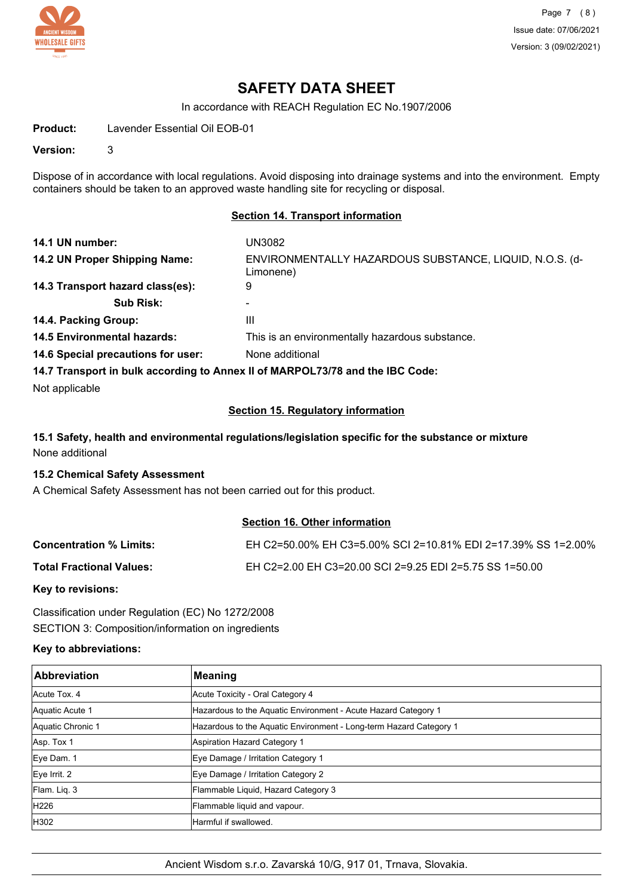

Page 7 (8) Issue date: 07/06/2021 Version: 3 (09/02/2021)

# **SAFETY DATA SHEET**

In accordance with REACH Regulation EC No.1907/2006

**Product:** Lavender Essential Oil EOB-01

**Version:** 3

Dispose of in accordance with local regulations. Avoid disposing into drainage systems and into the environment. Empty containers should be taken to an approved waste handling site for recycling or disposal.

#### **Section 14. Transport information**

| 14.1 UN number:                                                               | UN3082                                                               |  |  |
|-------------------------------------------------------------------------------|----------------------------------------------------------------------|--|--|
| 14.2 UN Proper Shipping Name:                                                 | ENVIRONMENTALLY HAZARDOUS SUBSTANCE, LIQUID, N.O.S. (d-<br>Limonene) |  |  |
| 14.3 Transport hazard class(es):                                              | 9                                                                    |  |  |
| <b>Sub Risk:</b>                                                              |                                                                      |  |  |
| 14.4. Packing Group:                                                          | Ш                                                                    |  |  |
| <b>14.5 Environmental hazards:</b>                                            | This is an environmentally hazardous substance.                      |  |  |
| 14.6 Special precautions for user:                                            | None additional                                                      |  |  |
| 14.7 Transport in bulk according to Annex II of MARPOL73/78 and the IBC Code: |                                                                      |  |  |

Not applicable

#### **Section 15. Regulatory information**

## **15.1 Safety, health and environmental regulations/legislation specific for the substance or mixture** None additional

#### **15.2 Chemical Safety Assessment**

A Chemical Safety Assessment has not been carried out for this product.

## **Section 16. Other information**

| <b>Concentration % Limits:</b>  | EH C2=50.00% EH C3=5.00% SCI 2=10.81% EDI 2=17.39% SS 1=2.00% |
|---------------------------------|---------------------------------------------------------------|
| <b>Total Fractional Values:</b> | EH C2=2.00 EH C3=20.00 SCI 2=9.25 EDI 2=5.75 SS 1=50.00       |

### **Key to revisions:**

Classification under Regulation (EC) No 1272/2008 SECTION 3: Composition/information on ingredients

### **Key to abbreviations:**

| <b>Abbreviation</b> | <b>Meaning</b>                                                     |
|---------------------|--------------------------------------------------------------------|
| Acute Tox, 4        | Acute Toxicity - Oral Category 4                                   |
| Aquatic Acute 1     | Hazardous to the Aquatic Environment - Acute Hazard Category 1     |
| Aquatic Chronic 1   | Hazardous to the Aquatic Environment - Long-term Hazard Category 1 |
| Asp. Tox 1          | <b>Aspiration Hazard Category 1</b>                                |
| Eye Dam. 1          | Eye Damage / Irritation Category 1                                 |
| Eye Irrit. 2        | Eye Damage / Irritation Category 2                                 |
| Flam. Lig. 3        | Flammable Liquid, Hazard Category 3                                |
| H226                | Flammable liquid and vapour.                                       |
| H302                | Harmful if swallowed.                                              |